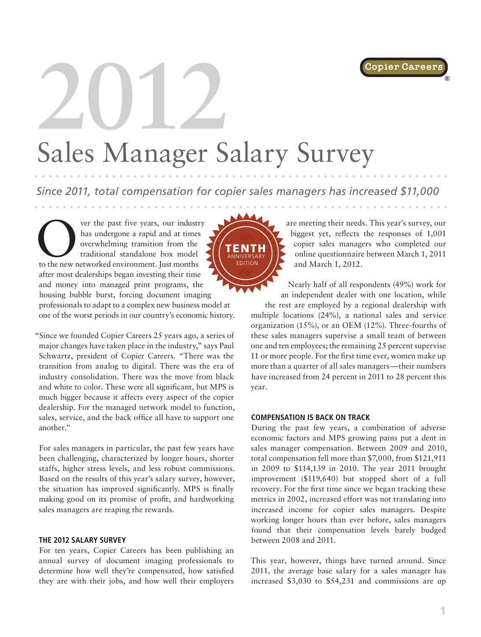

®

# **2012** Sales Manager Salary Survey

*Since 2011, total compensation for copier sales managers has increased \$11,000*

ANNIVERSARY EDITION

The past five years, our industry<br>
has undergone a rapid and at times<br>
overwhelming transition from the<br>
traditional standalone box model<br>
to the new networked environment. Just months has undergone a rapid and at times overwhelming transition from the traditional standalone box model after most dealerships began investing their time and money into managed print programs, the housing bubble burst, forcing document imaging professionals to adapt to a complex new business model at one of the worst periods in our country's economic history. TENTH

"Since we founded Copier Careers 25 years ago, a series of major changes have taken place in the industry," says Paul Schwartz, president of Copier Careers. "There was the transition from analog to digital. There was the era of industry consolidation. There was the move from black and white to color. These were all significant, but MPS is much bigger because it affects every aspect of the copier dealership. For the managed network model to function, sales, service, and the back office all have to support one another."

For sales managers in particular, the past few years have been challenging, characterized by longer hours, shorter staffs, higher stress levels, and less robust commissions. Based on the results of this year's salary survey, however, the situation has improved significantly. MPS is finally making good on its promise of profit, and hardworking sales managers are reaping the rewards.

#### **THE 2012 SALARY SURVEY**

For ten years, Copier Careers has been publishing an annual survey of document imaging professionals to determine how well they're compensated, how satisfied they are with their jobs, and how well their employers are meeting their needs. This year's survey, our biggest yet, reflects the responses of 1,001 copier sales managers who completed our online questionnaire between March 1, 2011 and March 1, 2012.

Nearly half of all respondents (49%) work for an independent dealer with one location, while

the rest are employed by a regional dealership with multiple locations (24%), a national sales and service organization (15%), or an OEM (12%). Three-fourths of these sales managers supervise a small team of between one and ten employees; the remaining 25 percent supervise 11 or more people. For the first time ever, women make up more than a quarter of all sales managers—their numbers have increased from 24 percent in 2011 to 28 percent this year.

### **COMPENSATION IS BACK ON TRACK**

During the past few years, a combination of adverse economic factors and MPS growing pains put a dent in sales manager compensation. Between 2009 and 2010, total compensation fell more than \$7,000, from \$121,911 in 2009 to \$114,139 in 2010. The year 2011 brought improvement (\$119,640) but stopped short of a full recovery. For the first time since we began tracking these metrics in 2002, increased effort was not translating into increased income for copier sales managers. Despite working longer hours than ever before, sales managers found that their compensation levels barely budged between 2008 and 2011.

This year, however, things have turned around. Since 2011, the average base salary for a sales manager has increased \$3,030 to \$54,231 and commissions are up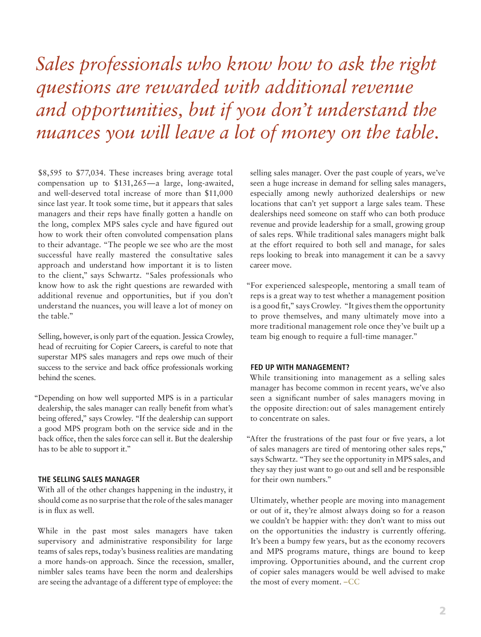# *Sales professionals who know how to ask the right questions are rewarded with additional revenue and opportunities, but if you don't understand the nuances you will leave a lot of money on the table.*

\$8,595 to \$77,034. These increases bring average total compensation up to \$131,265—a large, long-awaited, and well-deserved total increase of more than \$11,000 since last year. It took some time, but it appears that sales managers and their reps have finally gotten a handle on the long, complex MPS sales cycle and have figured out how to work their often convoluted compensation plans to their advantage. "The people we see who are the most successful have really mastered the consultative sales approach and understand how important it is to listen to the client," says Schwartz. "Sales professionals who know how to ask the right questions are rewarded with additional revenue and opportunities, but if you don't understand the nuances, you will leave a lot of money on the table."

Selling, however, is only part of the equation. Jessica Crowley, head of recruiting for Copier Careers, is careful to note that superstar MPS sales managers and reps owe much of their success to the service and back office professionals working behind the scenes.

"Depending on how well supported MPS is in a particular dealership, the sales manager can really benefit from what's being offered," says Crowley. "If the dealership can support a good MPS program both on the service side and in the back office, then the sales force can sell it. But the dealership has to be able to support it."

## **THE SELLING SALES MANAGER**

With all of the other changes happening in the industry, it should come as no surprise that the role of the sales manager is in flux as well.

While in the past most sales managers have taken supervisory and administrative responsibility for large teams of sales reps, today's business realities are mandating a more hands-on approach. Since the recession, smaller, nimbler sales teams have been the norm and dealerships are seeing the advantage of a different type of employee: the

selling sales manager. Over the past couple of years, we've seen a huge increase in demand for selling sales managers, especially among newly authorized dealerships or new locations that can't yet support a large sales team. These dealerships need someone on staff who can both produce revenue and provide leadership for a small, growing group of sales reps. While traditional sales managers might balk at the effort required to both sell and manage, for sales reps looking to break into management it can be a savvy career move.

"For experienced salespeople, mentoring a small team of reps is a great way to test whether a management position is a good fit," says Crowley. "It gives them the opportunity to prove themselves, and many ultimately move into a more traditional management role once they've built up a team big enough to require a full-time manager."

#### **FED UP WITH MANAGEMENT?**

While transitioning into management as a selling sales manager has become common in recent years, we've also seen a significant number of sales managers moving in the opposite direction: out of sales management entirely to concentrate on sales.

"After the frustrations of the past four or five years, a lot of sales managers are tired of mentoring other sales reps," says Schwartz. "They see the opportunity in MPS sales, and they say they just want to go out and sell and be responsible for their own numbers."

Ultimately, whether people are moving into management or out of it, they're almost always doing so for a reason we couldn't be happier with: they don't want to miss out on the opportunities the industry is currently offering. It's been a bumpy few years, but as the economy recovers and MPS programs mature, things are bound to keep improving. Opportunities abound, and the current crop of copier sales managers would be well advised to make the most of every moment. –CC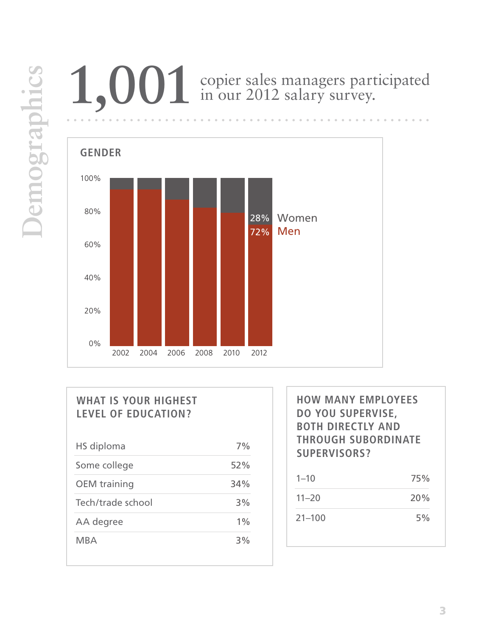# **1,001** copier sales managers participated in our 2012 salary survey.



# **WHAT IS YOUR HIGHEST LEVEL OF EDUCATION?**

| HS diploma          | 7%  |
|---------------------|-----|
| Some college        | 52% |
| <b>OEM</b> training | 34% |
| Tech/trade school   | 3%  |
| AA degree           | 1%  |
| MBA                 | 3%  |

**HOW MANY EMPLOYEES DO YOU SUPERVISE, BOTH DIRECTLY AND THROUGH SUBORDINATE SUPERVISORS?**

| $1 - 10$   | 75% |
|------------|-----|
| $11 - 20$  | 20% |
| $21 - 100$ | 5%  |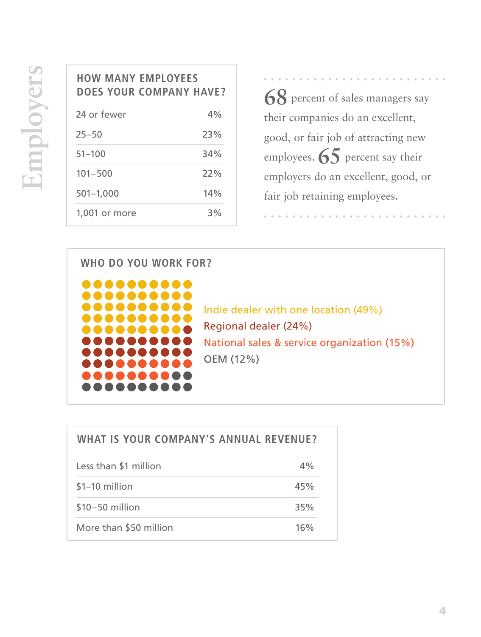## **HOW MANY EMPLOYEES DOES YOUR COMPANY HAVE?**

| 24 or fewer   | $4\%$ |
|---------------|-------|
| $25 - 50$     | 23%   |
| $51 - 100$    | 34%   |
| $101 - 500$   | 22%   |
| $501 - 1,000$ | 14%   |
| 1,001 or more | 3%    |

**68** percent of sales managers say their companies do an excellent, good, or fair job of attracting new employees. **65** percent say their employers do an excellent, good, or fair job retaining employees.

## **WHO DO YOU WORK FOR?**



Indie dealer with one location (49%) Regional dealer (24%) National sales & service organization (15%) OEM (12%)

| <b>WHAT IS YOUR COMPANY'S ANNUAL REVENUE?</b> |     |
|-----------------------------------------------|-----|
| Less than \$1 million                         | 4%  |
| $$1-10$ million                               | 45% |
| $$10-50$ million                              | 35% |
| More than \$50 million                        | 16% |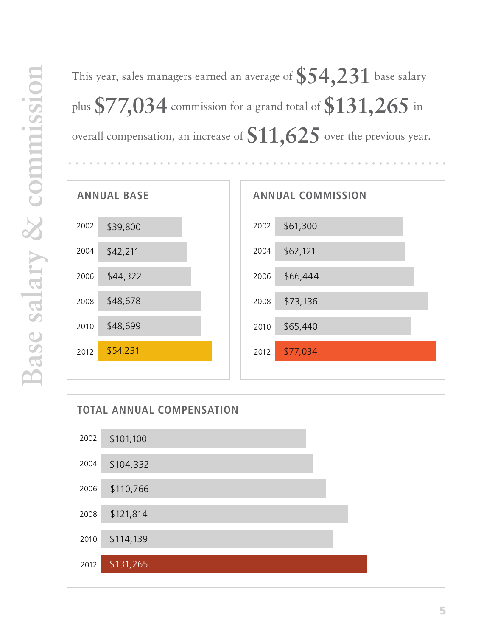| This year, sales managers earned an average of $\$54.231$ base salary                                                               |
|-------------------------------------------------------------------------------------------------------------------------------------|
| plus $\$77\hspace{-0.15cm}.\hspace{-0.15cm}034$ commission for a grand total of $\$131\hspace{-0.15cm}.\hspace{-0.15cm}265$ in $^2$ |
| overall compensation, an increase of $\$11,\!625$ over the previous year.                                                           |



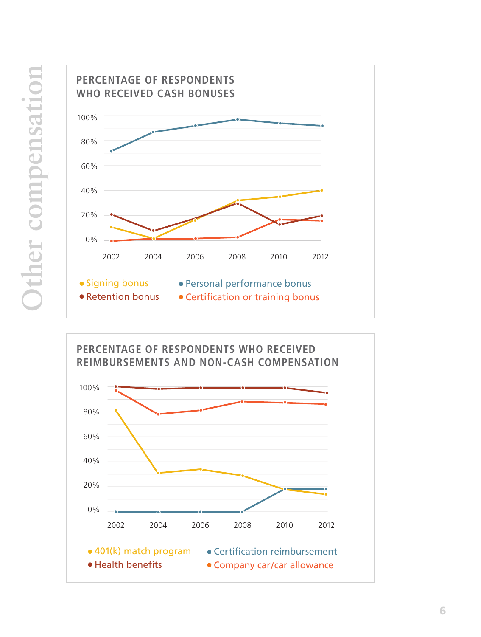

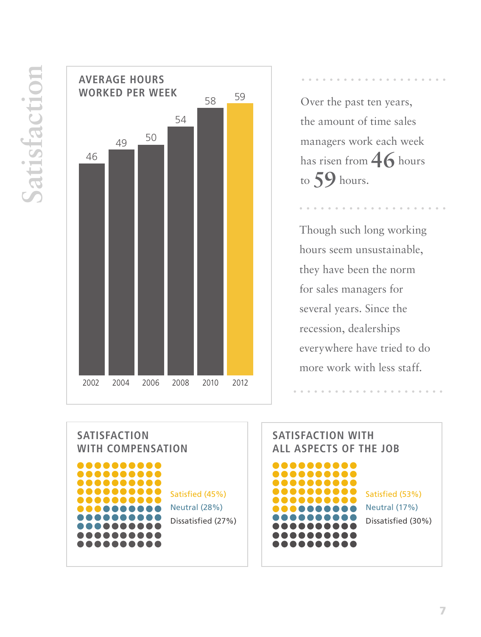**Satisfaction** Satisfaction



Over the past ten years, the amount of time sales managers work each week has risen from **46** hours to **59** hours.

. . . . . . .

Though such long working hours seem unsustainable, they have been the norm for sales managers for several years. Since the recession, dealerships everywhere have tried to do more work with less staff.

**SATISFACTION WITH COMPENSATION** ........ , , , , , , , , , , , ,,,,,,,,, ,,,,,,, Satisfied (45%) Neutral (28%) Dissatisfied (27%) .......